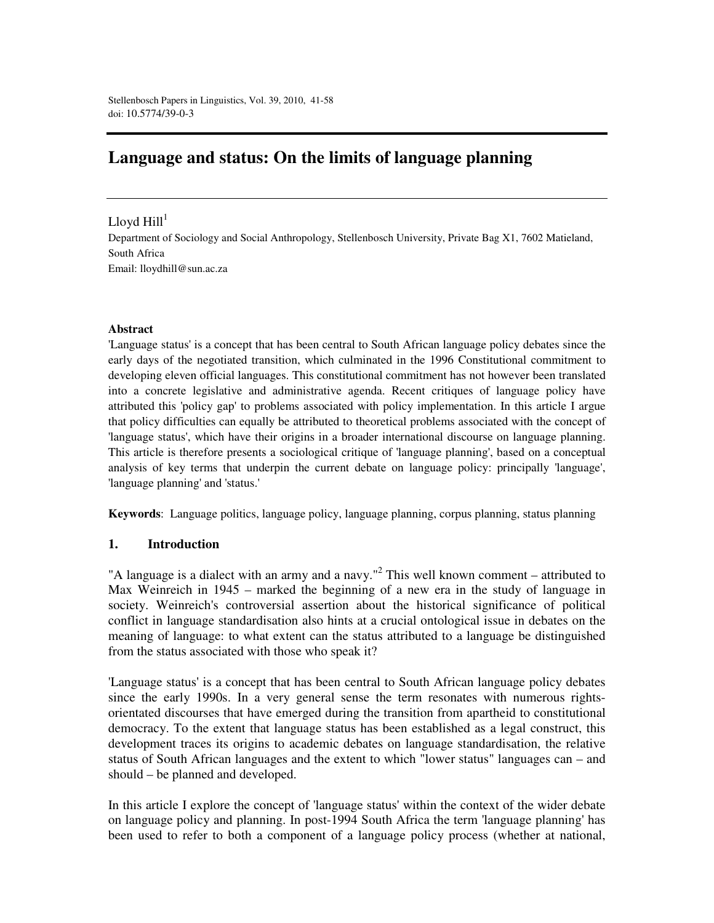# **Language and status: On the limits of language planning**

## Lloyd Hill $^{\rm l}$

Department of Sociology and Social Anthropology, Stellenbosch University, Private Bag X1, 7602 Matieland, South Africa Email: lloydhill@sun.ac.za

#### **Abstract**

'Language status' is a concept that has been central to South African language policy debates since the early days of the negotiated transition, which culminated in the 1996 Constitutional commitment to developing eleven official languages. This constitutional commitment has not however been translated into a concrete legislative and administrative agenda. Recent critiques of language policy have attributed this 'policy gap' to problems associated with policy implementation. In this article I argue that policy difficulties can equally be attributed to theoretical problems associated with the concept of 'language status', which have their origins in a broader international discourse on language planning. This article is therefore presents a sociological critique of 'language planning', based on a conceptual analysis of key terms that underpin the current debate on language policy: principally 'language', 'language planning' and 'status.'

**Keywords**: Language politics, language policy, language planning, corpus planning, status planning

#### **1. Introduction**

"A language is a dialect with an army and a navy."<sup>2</sup> This well known comment – attributed to Max Weinreich in 1945 – marked the beginning of a new era in the study of language in society. Weinreich's controversial assertion about the historical significance of political conflict in language standardisation also hints at a crucial ontological issue in debates on the meaning of language: to what extent can the status attributed to a language be distinguished from the status associated with those who speak it?

'Language status' is a concept that has been central to South African language policy debates since the early 1990s. In a very general sense the term resonates with numerous rightsorientated discourses that have emerged during the transition from apartheid to constitutional democracy. To the extent that language status has been established as a legal construct, this development traces its origins to academic debates on language standardisation, the relative status of South African languages and the extent to which "lower status" languages can – and should – be planned and developed.

In this article I explore the concept of 'language status' within the context of the wider debate on language policy and planning. In post-1994 South Africa the term 'language planning' has been used to refer to both a component of a language policy process (whether at national,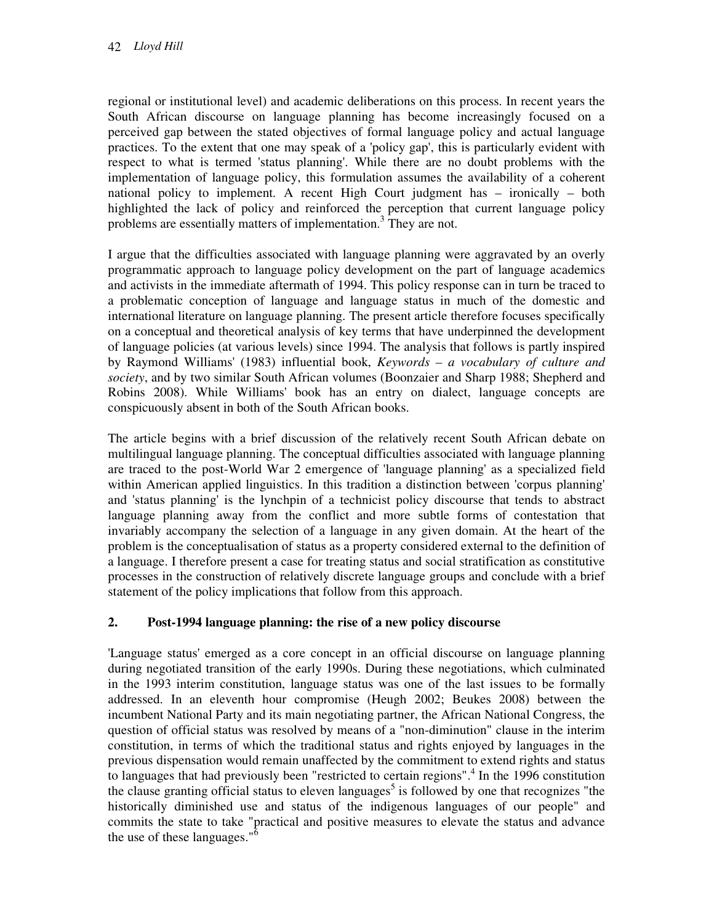regional or institutional level) and academic deliberations on this process. In recent years the South African discourse on language planning has become increasingly focused on a perceived gap between the stated objectives of formal language policy and actual language practices. To the extent that one may speak of a 'policy gap', this is particularly evident with respect to what is termed 'status planning'. While there are no doubt problems with the implementation of language policy, this formulation assumes the availability of a coherent national policy to implement. A recent High Court judgment has – ironically – both highlighted the lack of policy and reinforced the perception that current language policy problems are essentially matters of implementation.<sup>3</sup> They are not.

I argue that the difficulties associated with language planning were aggravated by an overly programmatic approach to language policy development on the part of language academics and activists in the immediate aftermath of 1994. This policy response can in turn be traced to a problematic conception of language and language status in much of the domestic and international literature on language planning. The present article therefore focuses specifically on a conceptual and theoretical analysis of key terms that have underpinned the development of language policies (at various levels) since 1994. The analysis that follows is partly inspired by Raymond Williams' (1983) influential book, *Keywords – a vocabulary of culture and society*, and by two similar South African volumes (Boonzaier and Sharp 1988; Shepherd and Robins 2008). While Williams' book has an entry on dialect, language concepts are conspicuously absent in both of the South African books.

The article begins with a brief discussion of the relatively recent South African debate on multilingual language planning. The conceptual difficulties associated with language planning are traced to the post-World War 2 emergence of 'language planning' as a specialized field within American applied linguistics. In this tradition a distinction between 'corpus planning' and 'status planning' is the lynchpin of a technicist policy discourse that tends to abstract language planning away from the conflict and more subtle forms of contestation that invariably accompany the selection of a language in any given domain. At the heart of the problem is the conceptualisation of status as a property considered external to the definition of a language. I therefore present a case for treating status and social stratification as constitutive processes in the construction of relatively discrete language groups and conclude with a brief statement of the policy implications that follow from this approach.

# **2. Post-1994 language planning: the rise of a new policy discourse**

'Language status' emerged as a core concept in an official discourse on language planning during negotiated transition of the early 1990s. During these negotiations, which culminated in the 1993 interim constitution, language status was one of the last issues to be formally addressed. In an eleventh hour compromise (Heugh 2002; Beukes 2008) between the incumbent National Party and its main negotiating partner, the African National Congress, the question of official status was resolved by means of a "non-diminution" clause in the interim constitution, in terms of which the traditional status and rights enjoyed by languages in the previous dispensation would remain unaffected by the commitment to extend rights and status to languages that had previously been "restricted to certain regions".<sup>4</sup> In the 1996 constitution the clause granting official status to eleven languages<sup>5</sup> is followed by one that recognizes "the historically diminished use and status of the indigenous languages of our people" and commits the state to take "practical and positive measures to elevate the status and advance the use of these languages." $\delta$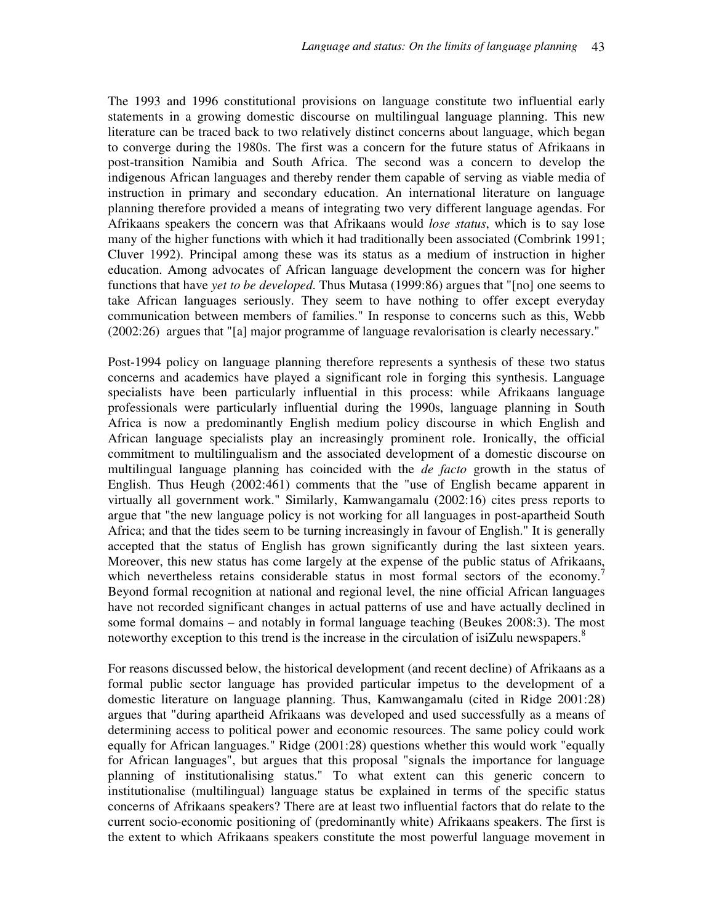The 1993 and 1996 constitutional provisions on language constitute two influential early statements in a growing domestic discourse on multilingual language planning. This new literature can be traced back to two relatively distinct concerns about language, which began to converge during the 1980s. The first was a concern for the future status of Afrikaans in post-transition Namibia and South Africa. The second was a concern to develop the indigenous African languages and thereby render them capable of serving as viable media of instruction in primary and secondary education. An international literature on language planning therefore provided a means of integrating two very different language agendas. For Afrikaans speakers the concern was that Afrikaans would *lose status*, which is to say lose many of the higher functions with which it had traditionally been associated (Combrink 1991; Cluver 1992). Principal among these was its status as a medium of instruction in higher education. Among advocates of African language development the concern was for higher functions that have *yet to be developed*. Thus Mutasa (1999:86) argues that "[no] one seems to take African languages seriously. They seem to have nothing to offer except everyday communication between members of families." In response to concerns such as this, Webb (2002:26) argues that "[a] major programme of language revalorisation is clearly necessary."

Post-1994 policy on language planning therefore represents a synthesis of these two status concerns and academics have played a significant role in forging this synthesis. Language specialists have been particularly influential in this process: while Afrikaans language professionals were particularly influential during the 1990s, language planning in South Africa is now a predominantly English medium policy discourse in which English and African language specialists play an increasingly prominent role. Ironically, the official commitment to multilingualism and the associated development of a domestic discourse on multilingual language planning has coincided with the *de facto* growth in the status of English. Thus Heugh (2002:461) comments that the "use of English became apparent in virtually all government work." Similarly, Kamwangamalu (2002:16) cites press reports to argue that "the new language policy is not working for all languages in post-apartheid South Africa; and that the tides seem to be turning increasingly in favour of English." It is generally accepted that the status of English has grown significantly during the last sixteen years. Moreover, this new status has come largely at the expense of the public status of Afrikaans, which nevertheless retains considerable status in most formal sectors of the economy.<sup>7</sup> Beyond formal recognition at national and regional level, the nine official African languages have not recorded significant changes in actual patterns of use and have actually declined in some formal domains – and notably in formal language teaching (Beukes 2008:3). The most noteworthy exception to this trend is the increase in the circulation of isiZulu newspapers.<sup>8</sup>

For reasons discussed below, the historical development (and recent decline) of Afrikaans as a formal public sector language has provided particular impetus to the development of a domestic literature on language planning. Thus, Kamwangamalu (cited in Ridge 2001:28) argues that "during apartheid Afrikaans was developed and used successfully as a means of determining access to political power and economic resources. The same policy could work equally for African languages." Ridge (2001:28) questions whether this would work "equally for African languages", but argues that this proposal "signals the importance for language planning of institutionalising status." To what extent can this generic concern to institutionalise (multilingual) language status be explained in terms of the specific status concerns of Afrikaans speakers? There are at least two influential factors that do relate to the current socio-economic positioning of (predominantly white) Afrikaans speakers. The first is the extent to which Afrikaans speakers constitute the most powerful language movement in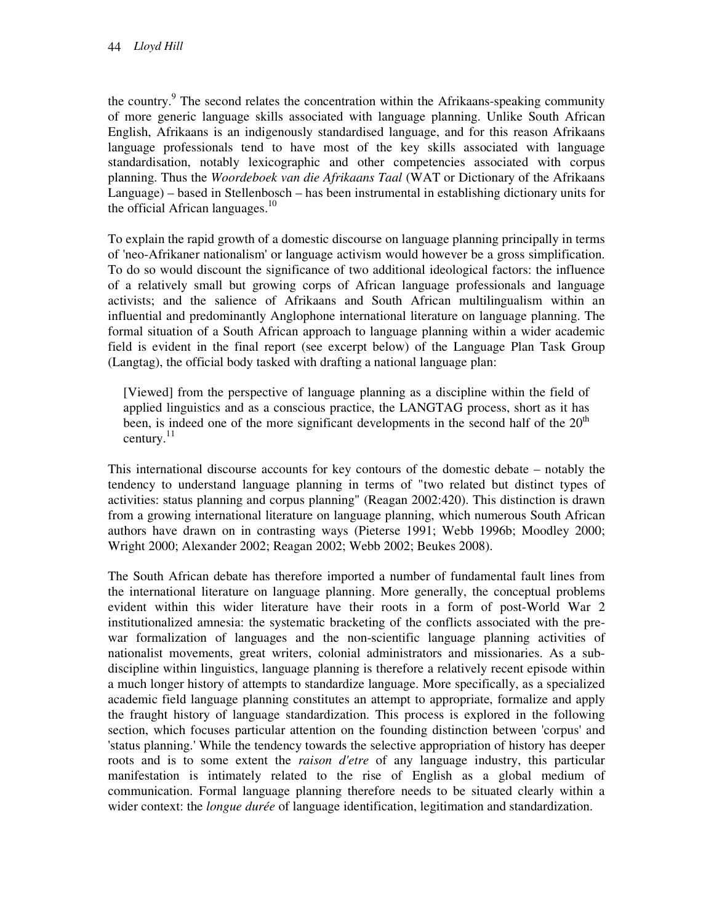the country.<sup>9</sup> The second relates the concentration within the Afrikaans-speaking community of more generic language skills associated with language planning. Unlike South African English, Afrikaans is an indigenously standardised language, and for this reason Afrikaans language professionals tend to have most of the key skills associated with language standardisation, notably lexicographic and other competencies associated with corpus planning. Thus the *Woordeboek van die Afrikaans Taal* (WAT or Dictionary of the Afrikaans Language) – based in Stellenbosch – has been instrumental in establishing dictionary units for the official African languages. $10$ 

To explain the rapid growth of a domestic discourse on language planning principally in terms of 'neo-Afrikaner nationalism' or language activism would however be a gross simplification. To do so would discount the significance of two additional ideological factors: the influence of a relatively small but growing corps of African language professionals and language activists; and the salience of Afrikaans and South African multilingualism within an influential and predominantly Anglophone international literature on language planning. The formal situation of a South African approach to language planning within a wider academic field is evident in the final report (see excerpt below) of the Language Plan Task Group (Langtag), the official body tasked with drafting a national language plan:

[Viewed] from the perspective of language planning as a discipline within the field of applied linguistics and as a conscious practice, the LANGTAG process, short as it has been, is indeed one of the more significant developments in the second half of the  $20<sup>th</sup>$ century. $^{11}$ 

This international discourse accounts for key contours of the domestic debate – notably the tendency to understand language planning in terms of "two related but distinct types of activities: status planning and corpus planning" (Reagan 2002:420). This distinction is drawn from a growing international literature on language planning, which numerous South African authors have drawn on in contrasting ways (Pieterse 1991; Webb 1996b; Moodley 2000; Wright 2000; Alexander 2002; Reagan 2002; Webb 2002; Beukes 2008).

The South African debate has therefore imported a number of fundamental fault lines from the international literature on language planning. More generally, the conceptual problems evident within this wider literature have their roots in a form of post-World War 2 institutionalized amnesia: the systematic bracketing of the conflicts associated with the prewar formalization of languages and the non-scientific language planning activities of nationalist movements, great writers, colonial administrators and missionaries. As a subdiscipline within linguistics, language planning is therefore a relatively recent episode within a much longer history of attempts to standardize language. More specifically, as a specialized academic field language planning constitutes an attempt to appropriate, formalize and apply the fraught history of language standardization. This process is explored in the following section, which focuses particular attention on the founding distinction between 'corpus' and 'status planning.' While the tendency towards the selective appropriation of history has deeper roots and is to some extent the *raison d'etre* of any language industry, this particular manifestation is intimately related to the rise of English as a global medium of communication. Formal language planning therefore needs to be situated clearly within a wider context: the *longue durée* of language identification, legitimation and standardization.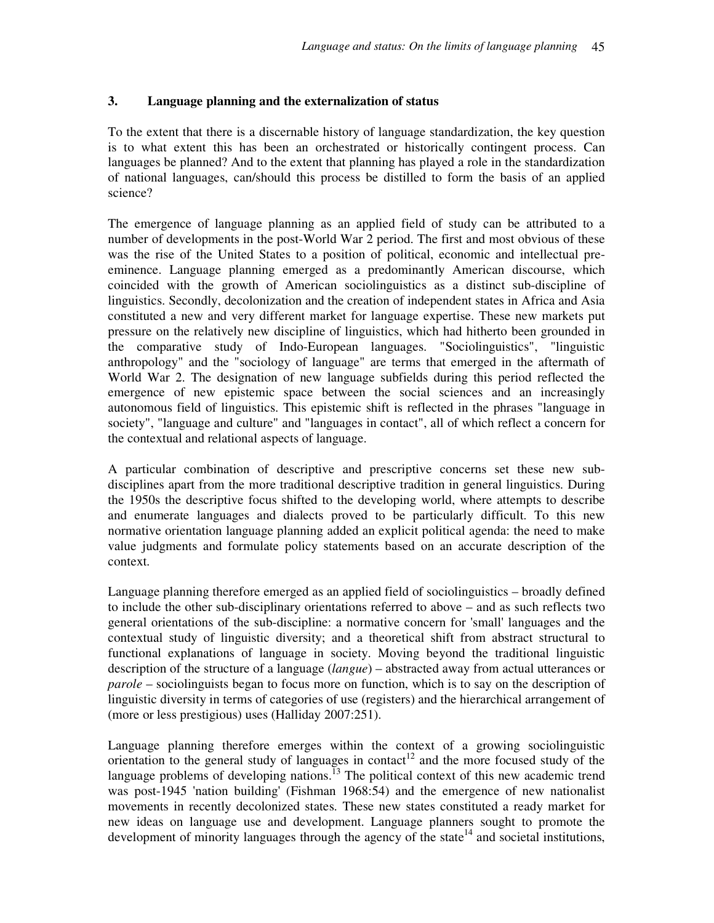### **3. Language planning and the externalization of status**

To the extent that there is a discernable history of language standardization, the key question is to what extent this has been an orchestrated or historically contingent process. Can languages be planned? And to the extent that planning has played a role in the standardization of national languages, can/should this process be distilled to form the basis of an applied science?

The emergence of language planning as an applied field of study can be attributed to a number of developments in the post-World War 2 period. The first and most obvious of these was the rise of the United States to a position of political, economic and intellectual preeminence. Language planning emerged as a predominantly American discourse, which coincided with the growth of American sociolinguistics as a distinct sub-discipline of linguistics. Secondly, decolonization and the creation of independent states in Africa and Asia constituted a new and very different market for language expertise. These new markets put pressure on the relatively new discipline of linguistics, which had hitherto been grounded in the comparative study of Indo-European languages. "Sociolinguistics", "linguistic anthropology" and the "sociology of language" are terms that emerged in the aftermath of World War 2. The designation of new language subfields during this period reflected the emergence of new epistemic space between the social sciences and an increasingly autonomous field of linguistics. This epistemic shift is reflected in the phrases "language in society", "language and culture" and "languages in contact", all of which reflect a concern for the contextual and relational aspects of language.

A particular combination of descriptive and prescriptive concerns set these new subdisciplines apart from the more traditional descriptive tradition in general linguistics. During the 1950s the descriptive focus shifted to the developing world, where attempts to describe and enumerate languages and dialects proved to be particularly difficult. To this new normative orientation language planning added an explicit political agenda: the need to make value judgments and formulate policy statements based on an accurate description of the context.

Language planning therefore emerged as an applied field of sociolinguistics – broadly defined to include the other sub-disciplinary orientations referred to above – and as such reflects two general orientations of the sub-discipline: a normative concern for 'small' languages and the contextual study of linguistic diversity; and a theoretical shift from abstract structural to functional explanations of language in society. Moving beyond the traditional linguistic description of the structure of a language (*langue*) – abstracted away from actual utterances or *parole* – sociolinguists began to focus more on function, which is to say on the description of linguistic diversity in terms of categories of use (registers) and the hierarchical arrangement of (more or less prestigious) uses (Halliday 2007:251).

Language planning therefore emerges within the context of a growing sociolinguistic orientation to the general study of languages in contact<sup>12</sup> and the more focused study of the language problems of developing nations.<sup>13</sup> The political context of this new academic trend was post-1945 'nation building' (Fishman 1968:54) and the emergence of new nationalist movements in recently decolonized states. These new states constituted a ready market for new ideas on language use and development. Language planners sought to promote the development of minority languages through the agency of the state<sup>14</sup> and societal institutions,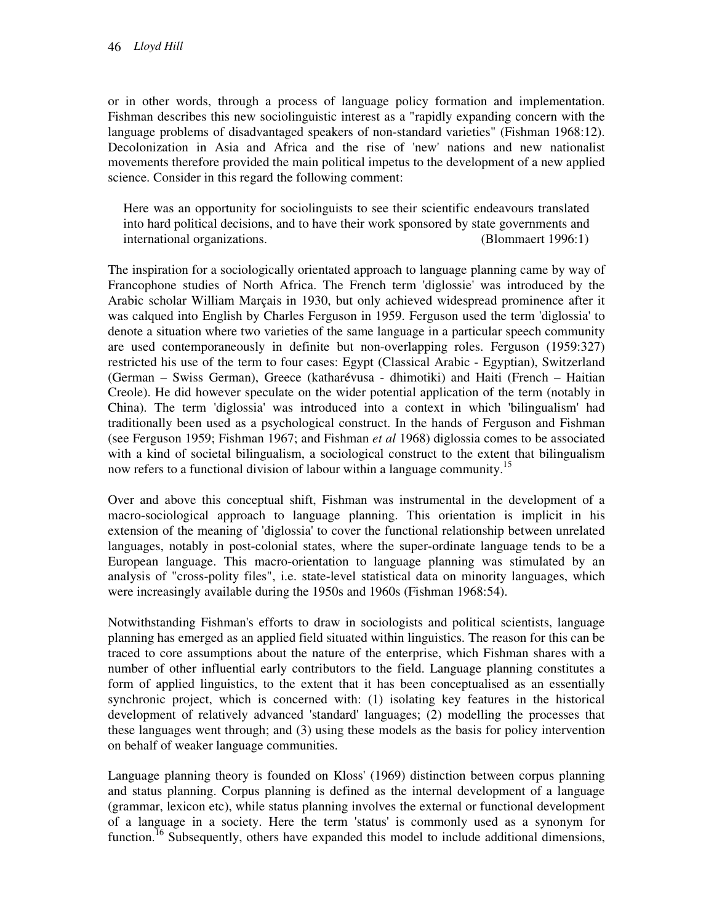or in other words, through a process of language policy formation and implementation. Fishman describes this new sociolinguistic interest as a "rapidly expanding concern with the language problems of disadvantaged speakers of non-standard varieties" (Fishman 1968:12). Decolonization in Asia and Africa and the rise of 'new' nations and new nationalist movements therefore provided the main political impetus to the development of a new applied science. Consider in this regard the following comment:

Here was an opportunity for sociolinguists to see their scientific endeavours translated into hard political decisions, and to have their work sponsored by state governments and international organizations. (Blommaert 1996:1)

The inspiration for a sociologically orientated approach to language planning came by way of Francophone studies of North Africa. The French term 'diglossie' was introduced by the Arabic scholar William Marçais in 1930, but only achieved widespread prominence after it was calqued into English by Charles Ferguson in 1959. Ferguson used the term 'diglossia' to denote a situation where two varieties of the same language in a particular speech community are used contemporaneously in definite but non-overlapping roles. Ferguson (1959:327) restricted his use of the term to four cases: Egypt (Classical Arabic - Egyptian), Switzerland (German – Swiss German), Greece (katharévusa - dhimotiki) and Haiti (French – Haitian Creole). He did however speculate on the wider potential application of the term (notably in China). The term 'diglossia' was introduced into a context in which 'bilingualism' had traditionally been used as a psychological construct. In the hands of Ferguson and Fishman (see Ferguson 1959; Fishman 1967; and Fishman *et al* 1968) diglossia comes to be associated with a kind of societal bilingualism, a sociological construct to the extent that bilingualism now refers to a functional division of labour within a language community.<sup>15</sup>

Over and above this conceptual shift, Fishman was instrumental in the development of a macro-sociological approach to language planning. This orientation is implicit in his extension of the meaning of 'diglossia' to cover the functional relationship between unrelated languages, notably in post-colonial states, where the super-ordinate language tends to be a European language. This macro-orientation to language planning was stimulated by an analysis of "cross-polity files", i.e. state-level statistical data on minority languages, which were increasingly available during the 1950s and 1960s (Fishman 1968:54).

Notwithstanding Fishman's efforts to draw in sociologists and political scientists, language planning has emerged as an applied field situated within linguistics. The reason for this can be traced to core assumptions about the nature of the enterprise, which Fishman shares with a number of other influential early contributors to the field. Language planning constitutes a form of applied linguistics, to the extent that it has been conceptualised as an essentially synchronic project, which is concerned with: (1) isolating key features in the historical development of relatively advanced 'standard' languages; (2) modelling the processes that these languages went through; and (3) using these models as the basis for policy intervention on behalf of weaker language communities.

Language planning theory is founded on Kloss' (1969) distinction between corpus planning and status planning. Corpus planning is defined as the internal development of a language (grammar, lexicon etc), while status planning involves the external or functional development of a language in a society. Here the term 'status' is commonly used as a synonym for function.<sup>16</sup> Subsequently, others have expanded this model to include additional dimensions,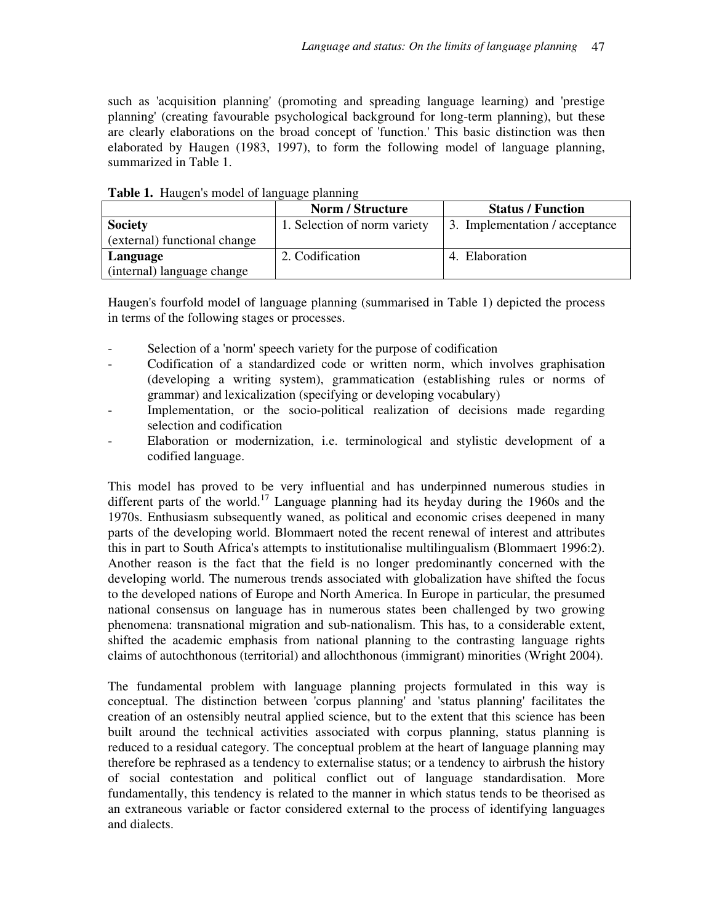such as 'acquisition planning' (promoting and spreading language learning) and 'prestige planning' (creating favourable psychological background for long-term planning), but these are clearly elaborations on the broad concept of 'function.' This basic distinction was then elaborated by Haugen (1983, 1997), to form the following model of language planning, summarized in Table 1.

| <b>THOIC I.</b> THREE CH 3 HOUGH OF RELEASED DRIMING |                              |                                |
|------------------------------------------------------|------------------------------|--------------------------------|
|                                                      | <b>Norm / Structure</b>      | <b>Status / Function</b>       |
| <b>Society</b>                                       | 1. Selection of norm variety | 3. Implementation / acceptance |
| (external) functional change                         |                              |                                |
| Language                                             | 2. Codification              | 4. Elaboration                 |
| (internal) language change                           |                              |                                |

**Table 1.** Haugen's model of language planning

Haugen's fourfold model of language planning (summarised in Table 1) depicted the process in terms of the following stages or processes.

- Selection of a 'norm' speech variety for the purpose of codification
- Codification of a standardized code or written norm, which involves graphisation (developing a writing system), grammatication (establishing rules or norms of grammar) and lexicalization (specifying or developing vocabulary)
- Implementation, or the socio-political realization of decisions made regarding selection and codification
- Elaboration or modernization, i.e. terminological and stylistic development of a codified language.

This model has proved to be very influential and has underpinned numerous studies in different parts of the world.<sup>17</sup> Language planning had its heyday during the 1960s and the 1970s. Enthusiasm subsequently waned, as political and economic crises deepened in many parts of the developing world. Blommaert noted the recent renewal of interest and attributes this in part to South Africa's attempts to institutionalise multilingualism (Blommaert 1996:2). Another reason is the fact that the field is no longer predominantly concerned with the developing world. The numerous trends associated with globalization have shifted the focus to the developed nations of Europe and North America. In Europe in particular, the presumed national consensus on language has in numerous states been challenged by two growing phenomena: transnational migration and sub-nationalism. This has, to a considerable extent, shifted the academic emphasis from national planning to the contrasting language rights claims of autochthonous (territorial) and allochthonous (immigrant) minorities (Wright 2004).

The fundamental problem with language planning projects formulated in this way is conceptual. The distinction between 'corpus planning' and 'status planning' facilitates the creation of an ostensibly neutral applied science, but to the extent that this science has been built around the technical activities associated with corpus planning, status planning is reduced to a residual category. The conceptual problem at the heart of language planning may therefore be rephrased as a tendency to externalise status; or a tendency to airbrush the history of social contestation and political conflict out of language standardisation. More fundamentally, this tendency is related to the manner in which status tends to be theorised as an extraneous variable or factor considered external to the process of identifying languages and dialects.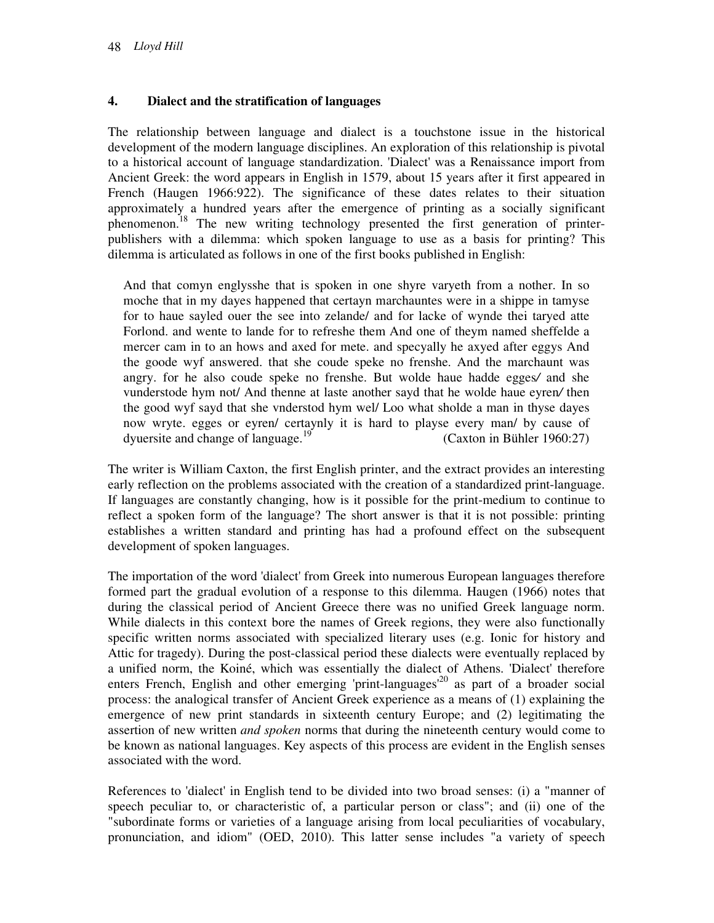### **4. Dialect and the stratification of languages**

The relationship between language and dialect is a touchstone issue in the historical development of the modern language disciplines. An exploration of this relationship is pivotal to a historical account of language standardization. 'Dialect' was a Renaissance import from Ancient Greek: the word appears in English in 1579, about 15 years after it first appeared in French (Haugen 1966:922). The significance of these dates relates to their situation approximately a hundred years after the emergence of printing as a socially significant phenomenon.<sup>18</sup> The new writing technology presented the first generation of printerpublishers with a dilemma: which spoken language to use as a basis for printing? This dilemma is articulated as follows in one of the first books published in English:

And that comyn englysshe that is spoken in one shyre varyeth from a nother. In so moche that in my dayes happened that certayn marchauntes were in a shippe in tamyse for to haue sayled ouer the see into zelande/ and for lacke of wynde thei taryed atte Forlond. and wente to lande for to refreshe them And one of theym named sheffelde a mercer cam in to an hows and axed for mete. and specyally he axyed after eggys And the goode wyf answered. that she coude speke no frenshe. And the marchaunt was angry. for he also coude speke no frenshe. But wolde haue hadde egges*/* and she vunderstode hym not/ And thenne at laste another sayd that he wolde haue eyren*/* then the good wyf sayd that she vnderstod hym wel/ Loo what sholde a man in thyse dayes now wryte. egges or eyren/ certaynly it is hard to playse every man/ by cause of dyuersite and change of language.<sup>19</sup> (Caxton in Bühler 1960:27)

The writer is William Caxton, the first English printer, and the extract provides an interesting early reflection on the problems associated with the creation of a standardized print-language. If languages are constantly changing, how is it possible for the print-medium to continue to reflect a spoken form of the language? The short answer is that it is not possible: printing establishes a written standard and printing has had a profound effect on the subsequent development of spoken languages.

The importation of the word 'dialect' from Greek into numerous European languages therefore formed part the gradual evolution of a response to this dilemma. Haugen (1966) notes that during the classical period of Ancient Greece there was no unified Greek language norm. While dialects in this context bore the names of Greek regions, they were also functionally specific written norms associated with specialized literary uses (e.g. Ionic for history and Attic for tragedy). During the post-classical period these dialects were eventually replaced by a unified norm, the Koiné, which was essentially the dialect of Athens. 'Dialect' therefore enters French, English and other emerging 'print-languages<sup>'20</sup> as part of a broader social process: the analogical transfer of Ancient Greek experience as a means of (1) explaining the emergence of new print standards in sixteenth century Europe; and (2) legitimating the assertion of new written *and spoken* norms that during the nineteenth century would come to be known as national languages. Key aspects of this process are evident in the English senses associated with the word.

References to 'dialect' in English tend to be divided into two broad senses: (i) a "manner of speech peculiar to, or characteristic of, a particular person or class"; and (ii) one of the "subordinate forms or varieties of a language arising from local peculiarities of vocabulary, pronunciation, and idiom" (OED, 2010). This latter sense includes "a variety of speech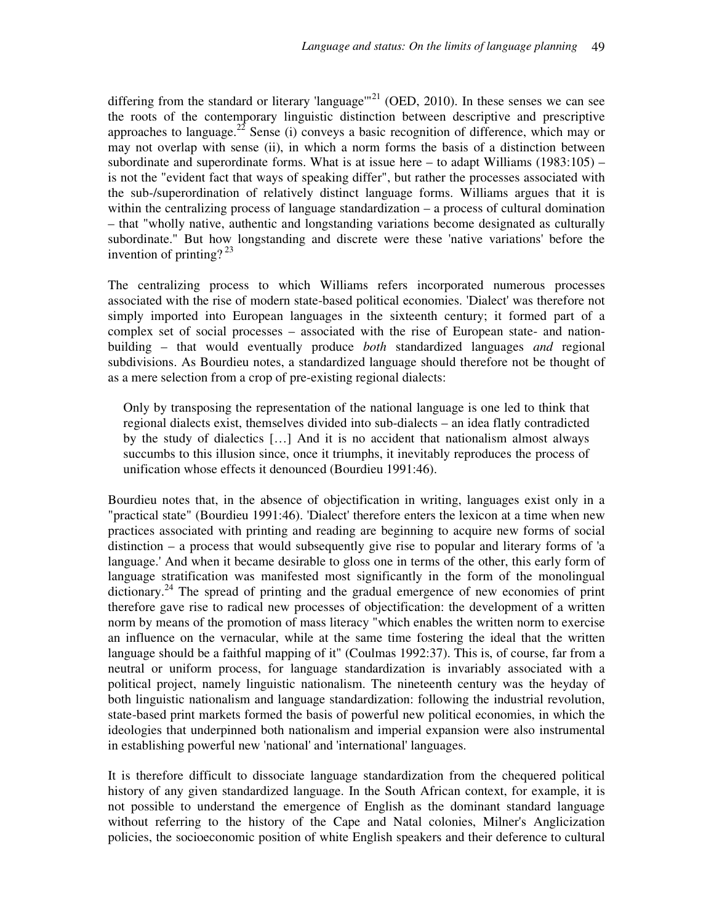differing from the standard or literary 'language'"<sup>21</sup> (OED, 2010). In these senses we can see the roots of the contemporary linguistic distinction between descriptive and prescriptive approaches to language.<sup>22</sup> Sense (i) conveys a basic recognition of difference, which may or may not overlap with sense (ii), in which a norm forms the basis of a distinction between subordinate and superordinate forms. What is at issue here – to adapt Williams  $(1983:105)$  – is not the "evident fact that ways of speaking differ", but rather the processes associated with the sub-/superordination of relatively distinct language forms. Williams argues that it is within the centralizing process of language standardization – a process of cultural domination – that "wholly native, authentic and longstanding variations become designated as culturally subordinate." But how longstanding and discrete were these 'native variations' before the invention of printing?  $^{23}$ 

The centralizing process to which Williams refers incorporated numerous processes associated with the rise of modern state-based political economies. 'Dialect' was therefore not simply imported into European languages in the sixteenth century; it formed part of a complex set of social processes – associated with the rise of European state- and nationbuilding – that would eventually produce *both* standardized languages *and* regional subdivisions. As Bourdieu notes, a standardized language should therefore not be thought of as a mere selection from a crop of pre-existing regional dialects:

Only by transposing the representation of the national language is one led to think that regional dialects exist, themselves divided into sub-dialects – an idea flatly contradicted by the study of dialectics […] And it is no accident that nationalism almost always succumbs to this illusion since, once it triumphs, it inevitably reproduces the process of unification whose effects it denounced (Bourdieu 1991:46).

Bourdieu notes that, in the absence of objectification in writing, languages exist only in a "practical state" (Bourdieu 1991:46). 'Dialect' therefore enters the lexicon at a time when new practices associated with printing and reading are beginning to acquire new forms of social distinction – a process that would subsequently give rise to popular and literary forms of 'a language.' And when it became desirable to gloss one in terms of the other, this early form of language stratification was manifested most significantly in the form of the monolingual dictionary.<sup>24</sup> The spread of printing and the gradual emergence of new economies of print therefore gave rise to radical new processes of objectification: the development of a written norm by means of the promotion of mass literacy "which enables the written norm to exercise an influence on the vernacular, while at the same time fostering the ideal that the written language should be a faithful mapping of it" (Coulmas 1992:37). This is, of course, far from a neutral or uniform process, for language standardization is invariably associated with a political project, namely linguistic nationalism. The nineteenth century was the heyday of both linguistic nationalism and language standardization: following the industrial revolution, state-based print markets formed the basis of powerful new political economies, in which the ideologies that underpinned both nationalism and imperial expansion were also instrumental in establishing powerful new 'national' and 'international' languages.

It is therefore difficult to dissociate language standardization from the chequered political history of any given standardized language. In the South African context, for example, it is not possible to understand the emergence of English as the dominant standard language without referring to the history of the Cape and Natal colonies, Milner's Anglicization policies, the socioeconomic position of white English speakers and their deference to cultural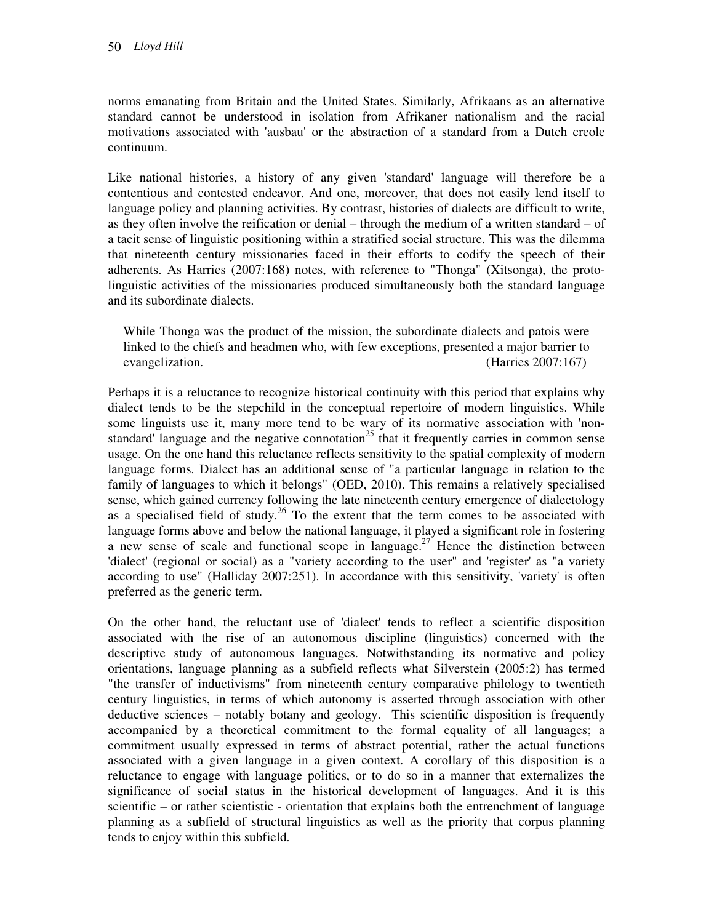norms emanating from Britain and the United States. Similarly, Afrikaans as an alternative standard cannot be understood in isolation from Afrikaner nationalism and the racial motivations associated with 'ausbau' or the abstraction of a standard from a Dutch creole continuum.

Like national histories, a history of any given 'standard' language will therefore be a contentious and contested endeavor. And one, moreover, that does not easily lend itself to language policy and planning activities. By contrast, histories of dialects are difficult to write, as they often involve the reification or denial – through the medium of a written standard – of a tacit sense of linguistic positioning within a stratified social structure. This was the dilemma that nineteenth century missionaries faced in their efforts to codify the speech of their adherents. As Harries (2007:168) notes, with reference to "Thonga" (Xitsonga), the protolinguistic activities of the missionaries produced simultaneously both the standard language and its subordinate dialects.

While Thonga was the product of the mission, the subordinate dialects and patois were linked to the chiefs and headmen who, with few exceptions, presented a major barrier to evangelization. (Harries 2007:167)

Perhaps it is a reluctance to recognize historical continuity with this period that explains why dialect tends to be the stepchild in the conceptual repertoire of modern linguistics. While some linguists use it, many more tend to be wary of its normative association with 'nonstandard' language and the negative connotation<sup>25</sup> that it frequently carries in common sense usage. On the one hand this reluctance reflects sensitivity to the spatial complexity of modern language forms. Dialect has an additional sense of "a particular language in relation to the family of languages to which it belongs" (OED, 2010). This remains a relatively specialised sense, which gained currency following the late nineteenth century emergence of dialectology as a specialised field of study.<sup>26</sup> To the extent that the term comes to be associated with language forms above and below the national language, it played a significant role in fostering a new sense of scale and functional scope in language.<sup>27</sup> Hence the distinction between 'dialect' (regional or social) as a "variety according to the user" and 'register' as "a variety according to use" (Halliday 2007:251). In accordance with this sensitivity, 'variety' is often preferred as the generic term.

On the other hand, the reluctant use of 'dialect' tends to reflect a scientific disposition associated with the rise of an autonomous discipline (linguistics) concerned with the descriptive study of autonomous languages. Notwithstanding its normative and policy orientations, language planning as a subfield reflects what Silverstein (2005:2) has termed "the transfer of inductivisms" from nineteenth century comparative philology to twentieth century linguistics, in terms of which autonomy is asserted through association with other deductive sciences – notably botany and geology. This scientific disposition is frequently accompanied by a theoretical commitment to the formal equality of all languages; a commitment usually expressed in terms of abstract potential, rather the actual functions associated with a given language in a given context. A corollary of this disposition is a reluctance to engage with language politics, or to do so in a manner that externalizes the significance of social status in the historical development of languages. And it is this scientific – or rather scientistic - orientation that explains both the entrenchment of language planning as a subfield of structural linguistics as well as the priority that corpus planning tends to enjoy within this subfield.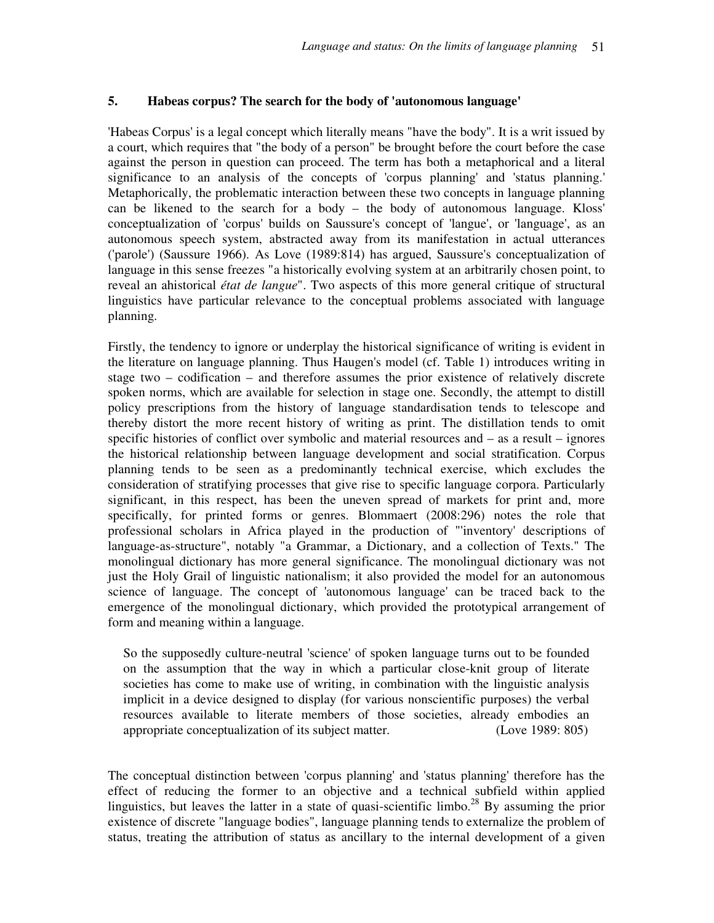#### **5. Habeas corpus? The search for the body of 'autonomous language'**

'Habeas Corpus' is a legal concept which literally means "have the body". It is a writ issued by a court, which requires that "the body of a person" be brought before the court before the case against the person in question can proceed. The term has both a metaphorical and a literal significance to an analysis of the concepts of 'corpus planning' and 'status planning.' Metaphorically, the problematic interaction between these two concepts in language planning can be likened to the search for a body – the body of autonomous language. Kloss' conceptualization of 'corpus' builds on Saussure's concept of 'langue', or 'language', as an autonomous speech system, abstracted away from its manifestation in actual utterances ('parole') (Saussure 1966). As Love (1989:814) has argued, Saussure's conceptualization of language in this sense freezes "a historically evolving system at an arbitrarily chosen point, to reveal an ahistorical *état de langue*". Two aspects of this more general critique of structural linguistics have particular relevance to the conceptual problems associated with language planning.

Firstly, the tendency to ignore or underplay the historical significance of writing is evident in the literature on language planning. Thus Haugen's model (cf. Table 1) introduces writing in stage two – codification – and therefore assumes the prior existence of relatively discrete spoken norms, which are available for selection in stage one. Secondly, the attempt to distill policy prescriptions from the history of language standardisation tends to telescope and thereby distort the more recent history of writing as print. The distillation tends to omit specific histories of conflict over symbolic and material resources and – as a result – ignores the historical relationship between language development and social stratification. Corpus planning tends to be seen as a predominantly technical exercise, which excludes the consideration of stratifying processes that give rise to specific language corpora. Particularly significant, in this respect, has been the uneven spread of markets for print and, more specifically, for printed forms or genres. Blommaert (2008:296) notes the role that professional scholars in Africa played in the production of "'inventory' descriptions of language-as-structure", notably "a Grammar, a Dictionary, and a collection of Texts." The monolingual dictionary has more general significance. The monolingual dictionary was not just the Holy Grail of linguistic nationalism; it also provided the model for an autonomous science of language. The concept of 'autonomous language' can be traced back to the emergence of the monolingual dictionary, which provided the prototypical arrangement of form and meaning within a language.

So the supposedly culture-neutral 'science' of spoken language turns out to be founded on the assumption that the way in which a particular close-knit group of literate societies has come to make use of writing, in combination with the linguistic analysis implicit in a device designed to display (for various nonscientific purposes) the verbal resources available to literate members of those societies, already embodies an appropriate conceptualization of its subject matter. (Love 1989: 805)

The conceptual distinction between 'corpus planning' and 'status planning' therefore has the effect of reducing the former to an objective and a technical subfield within applied linguistics, but leaves the latter in a state of quasi-scientific limbo.<sup>28</sup> By assuming the prior existence of discrete "language bodies", language planning tends to externalize the problem of status, treating the attribution of status as ancillary to the internal development of a given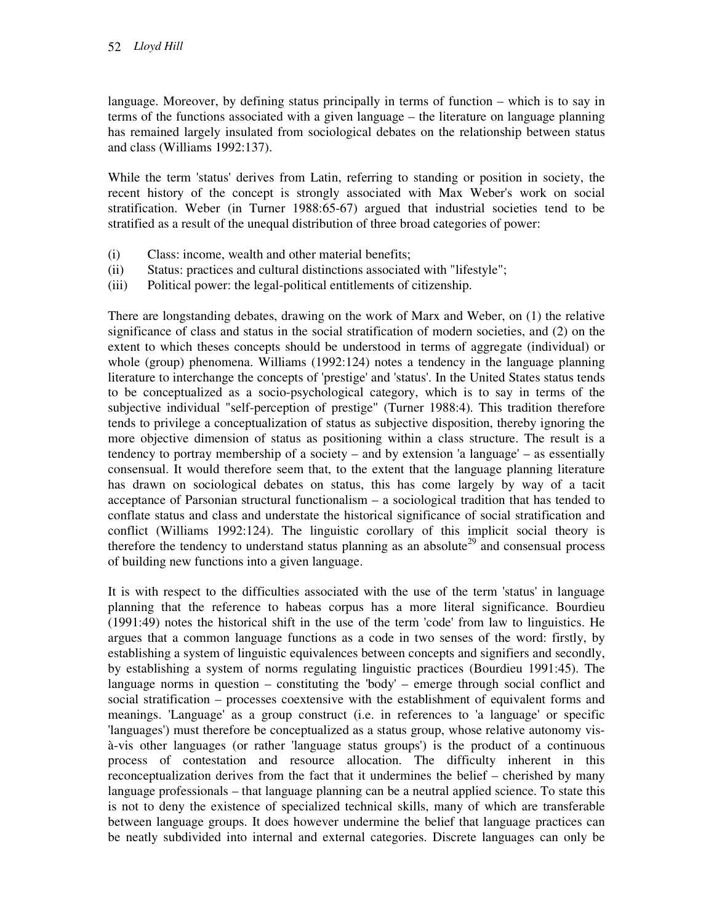language. Moreover, by defining status principally in terms of function – which is to say in terms of the functions associated with a given language – the literature on language planning has remained largely insulated from sociological debates on the relationship between status and class (Williams 1992:137).

While the term 'status' derives from Latin, referring to standing or position in society, the recent history of the concept is strongly associated with Max Weber's work on social stratification. Weber (in Turner 1988:65-67) argued that industrial societies tend to be stratified as a result of the unequal distribution of three broad categories of power:

- (i) Class: income, wealth and other material benefits;
- (ii) Status: practices and cultural distinctions associated with "lifestyle";
- (iii) Political power: the legal-political entitlements of citizenship.

There are longstanding debates, drawing on the work of Marx and Weber, on (1) the relative significance of class and status in the social stratification of modern societies, and (2) on the extent to which theses concepts should be understood in terms of aggregate (individual) or whole (group) phenomena. Williams (1992:124) notes a tendency in the language planning literature to interchange the concepts of 'prestige' and 'status'. In the United States status tends to be conceptualized as a socio-psychological category, which is to say in terms of the subjective individual "self-perception of prestige" (Turner 1988:4). This tradition therefore tends to privilege a conceptualization of status as subjective disposition, thereby ignoring the more objective dimension of status as positioning within a class structure. The result is a tendency to portray membership of a society – and by extension 'a language' – as essentially consensual. It would therefore seem that, to the extent that the language planning literature has drawn on sociological debates on status, this has come largely by way of a tacit acceptance of Parsonian structural functionalism – a sociological tradition that has tended to conflate status and class and understate the historical significance of social stratification and conflict (Williams 1992:124). The linguistic corollary of this implicit social theory is therefore the tendency to understand status planning as an absolute<sup>29</sup> and consensual process of building new functions into a given language.

It is with respect to the difficulties associated with the use of the term 'status' in language planning that the reference to habeas corpus has a more literal significance. Bourdieu (1991:49) notes the historical shift in the use of the term 'code' from law to linguistics. He argues that a common language functions as a code in two senses of the word: firstly, by establishing a system of linguistic equivalences between concepts and signifiers and secondly, by establishing a system of norms regulating linguistic practices (Bourdieu 1991:45). The language norms in question – constituting the 'body' – emerge through social conflict and social stratification – processes coextensive with the establishment of equivalent forms and meanings. 'Language' as a group construct (i.e. in references to 'a language' or specific 'languages') must therefore be conceptualized as a status group, whose relative autonomy visà-vis other languages (or rather 'language status groups') is the product of a continuous process of contestation and resource allocation. The difficulty inherent in this reconceptualization derives from the fact that it undermines the belief – cherished by many language professionals – that language planning can be a neutral applied science. To state this is not to deny the existence of specialized technical skills, many of which are transferable between language groups. It does however undermine the belief that language practices can be neatly subdivided into internal and external categories. Discrete languages can only be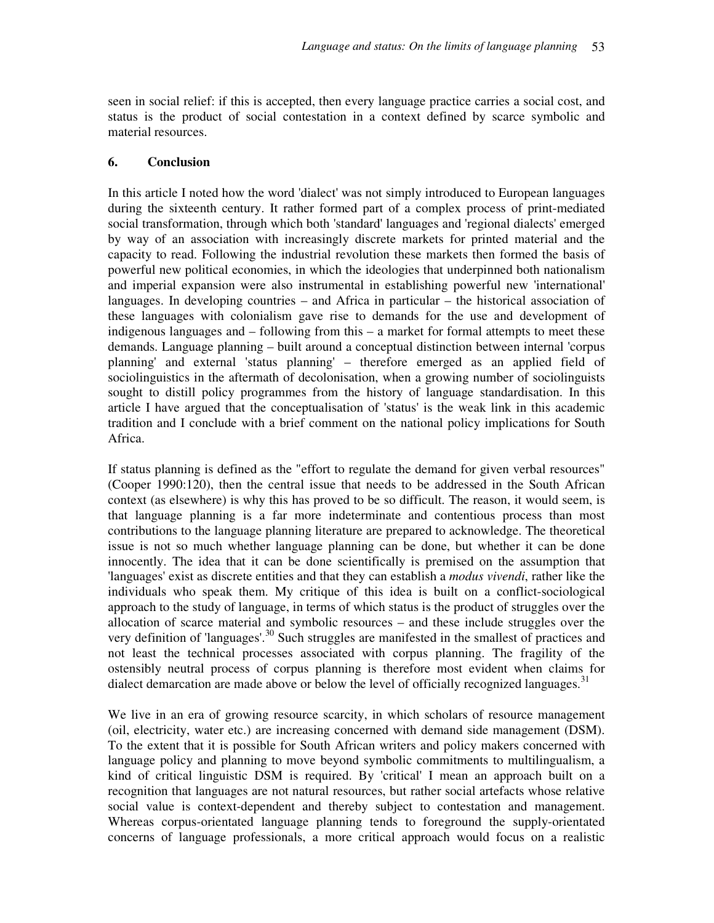seen in social relief: if this is accepted, then every language practice carries a social cost, and status is the product of social contestation in a context defined by scarce symbolic and material resources.

### **6. Conclusion**

In this article I noted how the word 'dialect' was not simply introduced to European languages during the sixteenth century. It rather formed part of a complex process of print-mediated social transformation, through which both 'standard' languages and 'regional dialects' emerged by way of an association with increasingly discrete markets for printed material and the capacity to read. Following the industrial revolution these markets then formed the basis of powerful new political economies, in which the ideologies that underpinned both nationalism and imperial expansion were also instrumental in establishing powerful new 'international' languages. In developing countries – and Africa in particular – the historical association of these languages with colonialism gave rise to demands for the use and development of indigenous languages and – following from this – a market for formal attempts to meet these demands. Language planning – built around a conceptual distinction between internal 'corpus planning' and external 'status planning' – therefore emerged as an applied field of sociolinguistics in the aftermath of decolonisation, when a growing number of sociolinguists sought to distill policy programmes from the history of language standardisation. In this article I have argued that the conceptualisation of 'status' is the weak link in this academic tradition and I conclude with a brief comment on the national policy implications for South Africa.

If status planning is defined as the "effort to regulate the demand for given verbal resources" (Cooper 1990:120), then the central issue that needs to be addressed in the South African context (as elsewhere) is why this has proved to be so difficult. The reason, it would seem, is that language planning is a far more indeterminate and contentious process than most contributions to the language planning literature are prepared to acknowledge. The theoretical issue is not so much whether language planning can be done, but whether it can be done innocently. The idea that it can be done scientifically is premised on the assumption that 'languages' exist as discrete entities and that they can establish a *modus vivendi*, rather like the individuals who speak them. My critique of this idea is built on a conflict-sociological approach to the study of language, in terms of which status is the product of struggles over the allocation of scarce material and symbolic resources – and these include struggles over the very definition of 'languages'.<sup>30</sup> Such struggles are manifested in the smallest of practices and not least the technical processes associated with corpus planning. The fragility of the ostensibly neutral process of corpus planning is therefore most evident when claims for dialect demarcation are made above or below the level of officially recognized languages.<sup>31</sup>

We live in an era of growing resource scarcity, in which scholars of resource management (oil, electricity, water etc.) are increasing concerned with demand side management (DSM). To the extent that it is possible for South African writers and policy makers concerned with language policy and planning to move beyond symbolic commitments to multilingualism, a kind of critical linguistic DSM is required. By 'critical' I mean an approach built on a recognition that languages are not natural resources, but rather social artefacts whose relative social value is context-dependent and thereby subject to contestation and management. Whereas corpus-orientated language planning tends to foreground the supply-orientated concerns of language professionals, a more critical approach would focus on a realistic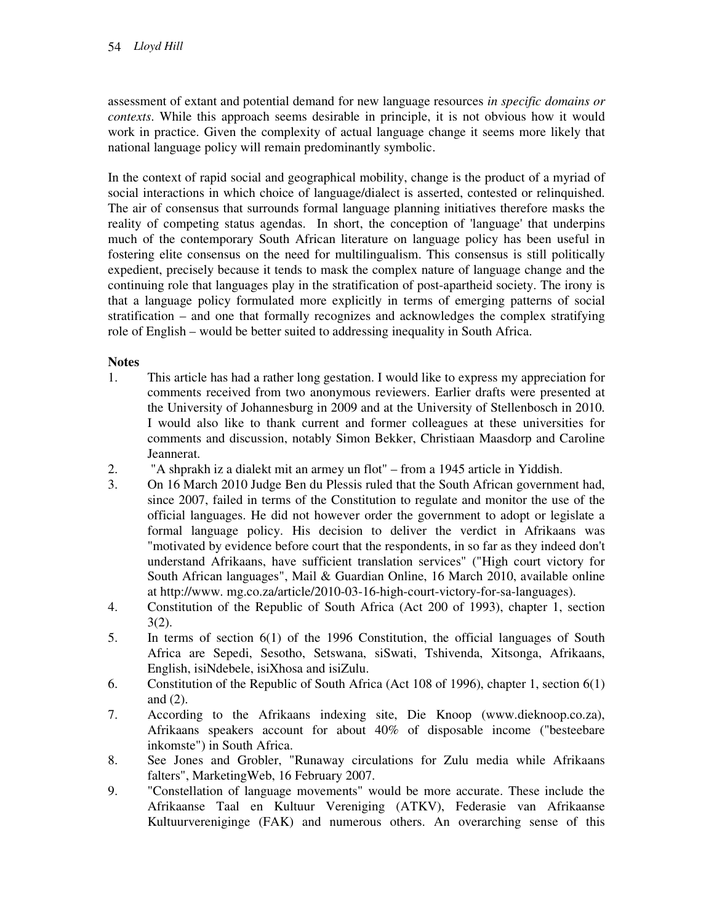assessment of extant and potential demand for new language resources *in specific domains or contexts*. While this approach seems desirable in principle, it is not obvious how it would work in practice. Given the complexity of actual language change it seems more likely that national language policy will remain predominantly symbolic.

In the context of rapid social and geographical mobility, change is the product of a myriad of social interactions in which choice of language/dialect is asserted, contested or relinquished. The air of consensus that surrounds formal language planning initiatives therefore masks the reality of competing status agendas. In short, the conception of 'language' that underpins much of the contemporary South African literature on language policy has been useful in fostering elite consensus on the need for multilingualism. This consensus is still politically expedient, precisely because it tends to mask the complex nature of language change and the continuing role that languages play in the stratification of post-apartheid society. The irony is that a language policy formulated more explicitly in terms of emerging patterns of social stratification – and one that formally recognizes and acknowledges the complex stratifying role of English – would be better suited to addressing inequality in South Africa.

## **Notes**

- 1. This article has had a rather long gestation. I would like to express my appreciation for comments received from two anonymous reviewers. Earlier drafts were presented at the University of Johannesburg in 2009 and at the University of Stellenbosch in 2010. I would also like to thank current and former colleagues at these universities for comments and discussion, notably Simon Bekker, Christiaan Maasdorp and Caroline Jeannerat.
- 2. "A shprakh iz a dialekt mit an armey un flot" from a 1945 article in Yiddish.
- 3. On 16 March 2010 Judge Ben du Plessis ruled that the South African government had, since 2007, failed in terms of the Constitution to regulate and monitor the use of the official languages. He did not however order the government to adopt or legislate a formal language policy. His decision to deliver the verdict in Afrikaans was "motivated by evidence before court that the respondents, in so far as they indeed don't understand Afrikaans, have sufficient translation services" ("High court victory for South African languages", Mail & Guardian Online, 16 March 2010, available online at http://www. mg.co.za/article/2010-03-16-high-court-victory-for-sa-languages).
- 4. Constitution of the Republic of South Africa (Act 200 of 1993), chapter 1, section 3(2).
- 5. In terms of section 6(1) of the 1996 Constitution, the official languages of South Africa are Sepedi, Sesotho, Setswana, siSwati, Tshivenda, Xitsonga, Afrikaans, English, isiNdebele, isiXhosa and isiZulu.
- 6. Constitution of the Republic of South Africa (Act 108 of 1996), chapter 1, section 6(1) and (2).
- 7. According to the Afrikaans indexing site, Die Knoop (www.dieknoop.co.za), Afrikaans speakers account for about 40% of disposable income ("besteebare inkomste") in South Africa.
- 8. See Jones and Grobler, "Runaway circulations for Zulu media while Afrikaans falters", MarketingWeb, 16 February 2007.
- 9. "Constellation of language movements" would be more accurate. These include the Afrikaanse Taal en Kultuur Vereniging (ATKV), Federasie van Afrikaanse Kultuurvereniginge (FAK) and numerous others. An overarching sense of this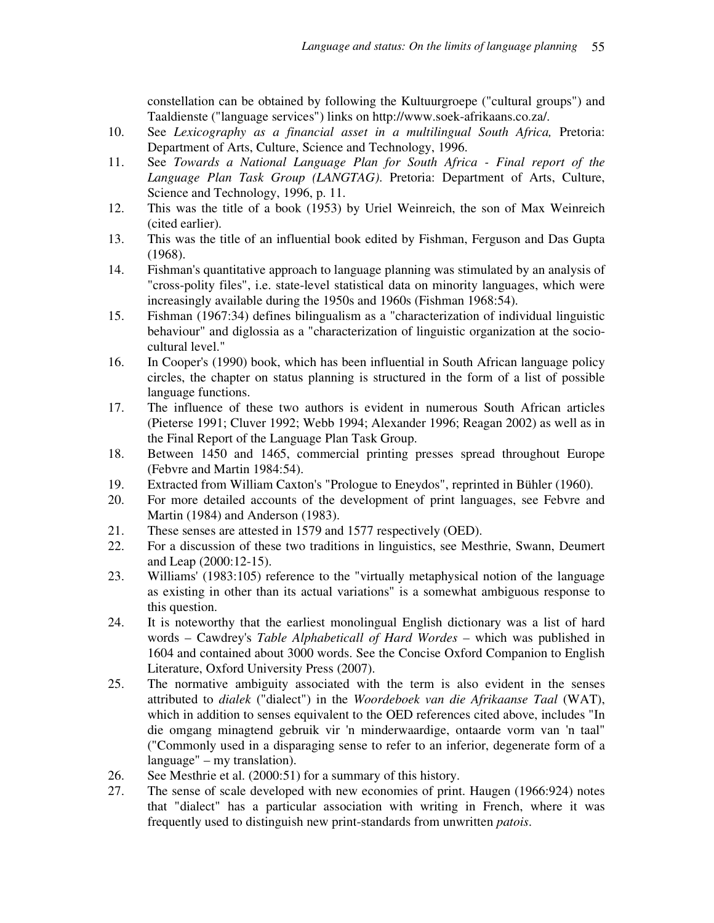constellation can be obtained by following the Kultuurgroepe ("cultural groups") and Taaldienste ("language services") links on http://www.soek-afrikaans.co.za/.

- 10. See *Lexicography as a financial asset in a multilingual South Africa,* Pretoria: Department of Arts, Culture, Science and Technology, 1996.
- 11. See *Towards a National Language Plan for South Africa Final report of the Language Plan Task Group (LANGTAG)*. Pretoria: Department of Arts, Culture, Science and Technology, 1996, p. 11.
- 12. This was the title of a book (1953) by Uriel Weinreich, the son of Max Weinreich (cited earlier).
- 13. This was the title of an influential book edited by Fishman, Ferguson and Das Gupta (1968).
- 14. Fishman's quantitative approach to language planning was stimulated by an analysis of "cross-polity files", i.e. state-level statistical data on minority languages, which were increasingly available during the 1950s and 1960s (Fishman 1968:54).
- 15. Fishman (1967:34) defines bilingualism as a "characterization of individual linguistic behaviour" and diglossia as a "characterization of linguistic organization at the sociocultural level."
- 16. In Cooper's (1990) book, which has been influential in South African language policy circles, the chapter on status planning is structured in the form of a list of possible language functions.
- 17. The influence of these two authors is evident in numerous South African articles (Pieterse 1991; Cluver 1992; Webb 1994; Alexander 1996; Reagan 2002) as well as in the Final Report of the Language Plan Task Group.
- 18. Between 1450 and 1465, commercial printing presses spread throughout Europe (Febvre and Martin 1984:54).
- 19. Extracted from William Caxton's "Prologue to Eneydos", reprinted in Bühler (1960).
- 20. For more detailed accounts of the development of print languages, see Febvre and Martin (1984) and Anderson (1983).
- 21. These senses are attested in 1579 and 1577 respectively (OED).
- 22. For a discussion of these two traditions in linguistics, see Mesthrie, Swann, Deumert and Leap (2000:12-15).
- 23. Williams' (1983:105) reference to the "virtually metaphysical notion of the language as existing in other than its actual variations" is a somewhat ambiguous response to this question.
- 24. It is noteworthy that the earliest monolingual English dictionary was a list of hard words – Cawdrey's *Table Alphabeticall of Hard Wordes –* which was published in 1604 and contained about 3000 words. See the Concise Oxford Companion to English Literature, Oxford University Press (2007).
- 25. The normative ambiguity associated with the term is also evident in the senses attributed to *dialek* ("dialect") in the *Woordeboek van die Afrikaanse Taal* (WAT), which in addition to senses equivalent to the OED references cited above, includes "In die omgang minagtend gebruik vir 'n minderwaardige, ontaarde vorm van 'n taal" ("Commonly used in a disparaging sense to refer to an inferior, degenerate form of a language" – my translation).
- 26. See Mesthrie et al. (2000:51) for a summary of this history.
- 27. The sense of scale developed with new economies of print. Haugen (1966:924) notes that "dialect" has a particular association with writing in French, where it was frequently used to distinguish new print-standards from unwritten *patois*.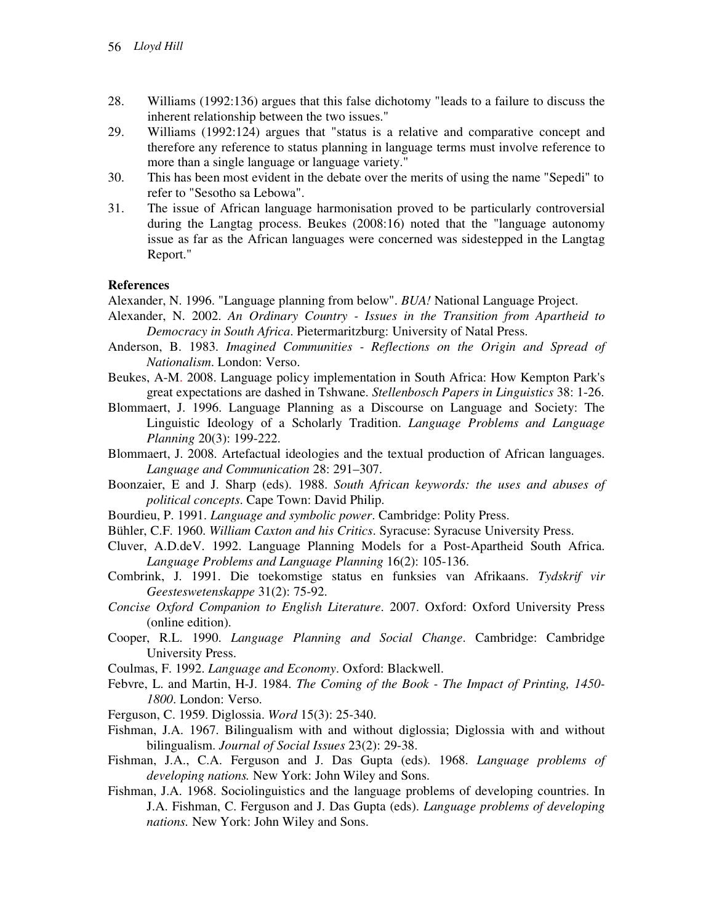- 28. Williams (1992:136) argues that this false dichotomy "leads to a failure to discuss the inherent relationship between the two issues."
- 29. Williams (1992:124) argues that "status is a relative and comparative concept and therefore any reference to status planning in language terms must involve reference to more than a single language or language variety."
- 30. This has been most evident in the debate over the merits of using the name "Sepedi" to refer to "Sesotho sa Lebowa".
- 31. The issue of African language harmonisation proved to be particularly controversial during the Langtag process. Beukes (2008:16) noted that the "language autonomy issue as far as the African languages were concerned was sidestepped in the Langtag Report."

#### **References**

Alexander, N. 1996. "Language planning from below". *BUA!* National Language Project.

- Alexander, N. 2002. *An Ordinary Country Issues in the Transition from Apartheid to Democracy in South Africa*. Pietermaritzburg: University of Natal Press.
- Anderson, B. 1983. *Imagined Communities Reflections on the Origin and Spread of Nationalism*. London: Verso.
- Beukes, A-M. 2008. Language policy implementation in South Africa: How Kempton Park's great expectations are dashed in Tshwane. *Stellenbosch Papers in Linguistics* 38: 1-26.
- Blommaert, J. 1996. Language Planning as a Discourse on Language and Society: The Linguistic Ideology of a Scholarly Tradition. *Language Problems and Language Planning* 20(3): 199-222.
- Blommaert, J. 2008. Artefactual ideologies and the textual production of African languages. *Language and Communication* 28: 291–307.
- Boonzaier, E and J. Sharp (eds). 1988. *South African keywords: the uses and abuses of political concepts*. Cape Town: David Philip.
- Bourdieu, P. 1991. *Language and symbolic power*. Cambridge: Polity Press.
- Bühler, C.F. 1960. *William Caxton and his Critics*. Syracuse: Syracuse University Press.
- Cluver, A.D.deV. 1992. Language Planning Models for a Post-Apartheid South Africa. *Language Problems and Language Planning* 16(2): 105-136.
- Combrink, J. 1991. Die toekomstige status en funksies van Afrikaans. *Tydskrif vir Geesteswetenskappe* 31(2): 75-92.
- *Concise Oxford Companion to English Literature*. 2007. Oxford: Oxford University Press (online edition).
- Cooper, R.L. 1990. *Language Planning and Social Change*. Cambridge: Cambridge University Press.
- Coulmas, F. 1992. *Language and Economy*. Oxford: Blackwell.
- Febvre, L. and Martin, H-J. 1984. *The Coming of the Book The Impact of Printing, 1450- 1800*. London: Verso.
- Ferguson, C. 1959. Diglossia. *Word* 15(3): 25-340.
- Fishman, J.A. 1967. Bilingualism with and without diglossia; Diglossia with and without bilingualism. *Journal of Social Issues* 23(2): 29-38.
- Fishman, J.A., C.A. Ferguson and J. Das Gupta (eds). 1968. *Language problems of developing nations.* New York: John Wiley and Sons.
- Fishman, J.A. 1968. Sociolinguistics and the language problems of developing countries. In J.A. Fishman, C. Ferguson and J. Das Gupta (eds). *Language problems of developing nations.* New York: John Wiley and Sons.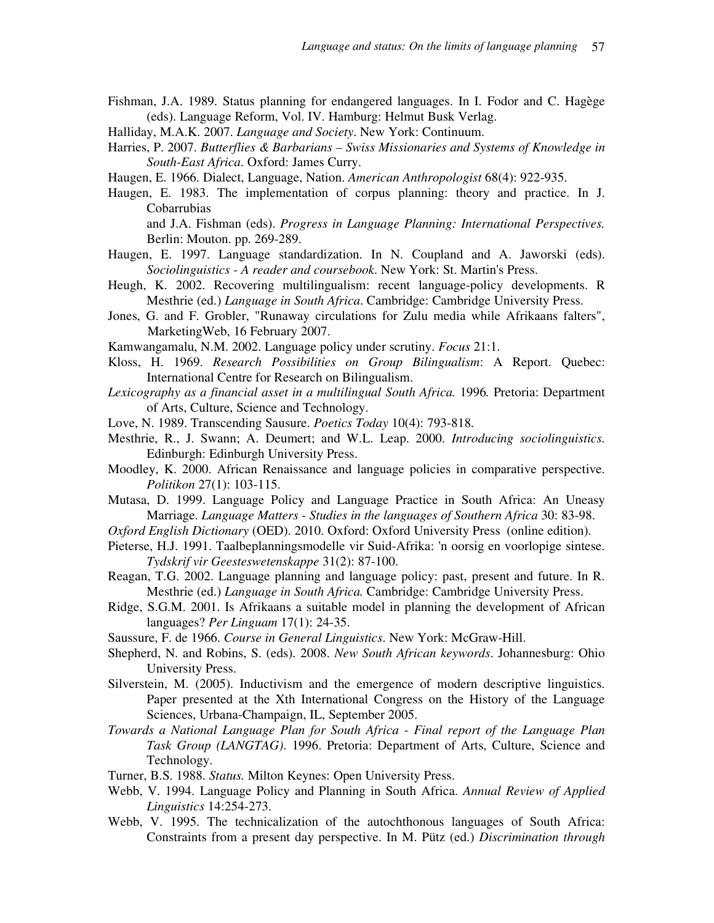- Fishman, J.A. 1989. Status planning for endangered languages. In I. Fodor and C. Hagège (eds). Language Reform, Vol. IV. Hamburg: Helmut Busk Verlag.
- Halliday, M.A.K. 2007. *Language and Society*. New York: Continuum.
- Harries, P. 2007. *Butterflies & Barbarians Swiss Missionaries and Systems of Knowledge in South-East Africa*. Oxford: James Curry.
- Haugen, E. 1966. Dialect, Language, Nation. *American Anthropologist* 68(4): 922-935.
- Haugen, E. 1983. The implementation of corpus planning: theory and practice. In J. Cobarrubias and J.A. Fishman (eds). *Progress in Language Planning: International Perspectives.*

Berlin: Mouton. pp. 269-289.

- Haugen, E. 1997. Language standardization. In N. Coupland and A. Jaworski (eds). *Sociolinguistics - A reader and coursebook*. New York: St. Martin's Press.
- Heugh, K. 2002. Recovering multilingualism: recent language-policy developments. R Mesthrie (ed.) *Language in South Africa*. Cambridge: Cambridge University Press.
- Jones, G. and F. Grobler, "Runaway circulations for Zulu media while Afrikaans falters", MarketingWeb, 16 February 2007.
- Kamwangamalu, N.M. 2002. Language policy under scrutiny. *Focus* 21:1.
- Kloss, H. 1969. *Research Possibilities on Group Bilingualism*: A Report. Quebec: International Centre for Research on Bilingualism.
- *Lexicography as a financial asset in a multilingual South Africa.* 1996*.* Pretoria: Department of Arts, Culture, Science and Technology.
- Love, N. 1989. Transcending Sausure. *Poetics Today* 10(4): 793-818.
- Mesthrie, R., J. Swann; A. Deumert; and W.L. Leap. 2000. *Introducing sociolinguistics*. Edinburgh: Edinburgh University Press.
- Moodley, K. 2000. African Renaissance and language policies in comparative perspective. *Politikon* 27(1): 103-115.
- Mutasa, D. 1999. Language Policy and Language Practice in South Africa: An Uneasy Marriage. *Language Matters - Studies in the languages of Southern Africa* 30: 83-98.
- *Oxford English Dictionary* (OED). 2010. Oxford: Oxford University Press (online edition).
- Pieterse, H.J. 1991. Taalbeplanningsmodelle vir Suid-Afrika: 'n oorsig en voorlopige sintese. *Tydskrif vir Geesteswetenskappe* 31(2): 87-100.
- Reagan, T.G. 2002. Language planning and language policy: past, present and future. In R. Mesthrie (ed.) *Language in South Africa.* Cambridge: Cambridge University Press.
- Ridge, S.G.M. 2001. Is Afrikaans a suitable model in planning the development of African languages? *Per Linguam* 17(1): 24-35.
- Saussure, F. de 1966. *Course in General Linguistics*. New York: McGraw-Hill.
- Shepherd, N. and Robins, S. (eds). 2008. *New South African keywords*. Johannesburg: Ohio University Press.
- Silverstein, M. (2005). Inductivism and the emergence of modern descriptive linguistics. Paper presented at the Xth International Congress on the History of the Language Sciences, Urbana-Champaign, IL, September 2005.
- *Towards a National Language Plan for South Africa Final report of the Language Plan Task Group (LANGTAG)*. 1996. Pretoria: Department of Arts, Culture, Science and Technology.
- Turner, B.S. 1988. *Status.* Milton Keynes: Open University Press.
- Webb, V. 1994. Language Policy and Planning in South Africa. *Annual Review of Applied Linguistics* 14:254-273.
- Webb, V. 1995. The technicalization of the autochthonous languages of South Africa: Constraints from a present day perspective. In M. Pütz (ed.) *Discrimination through*